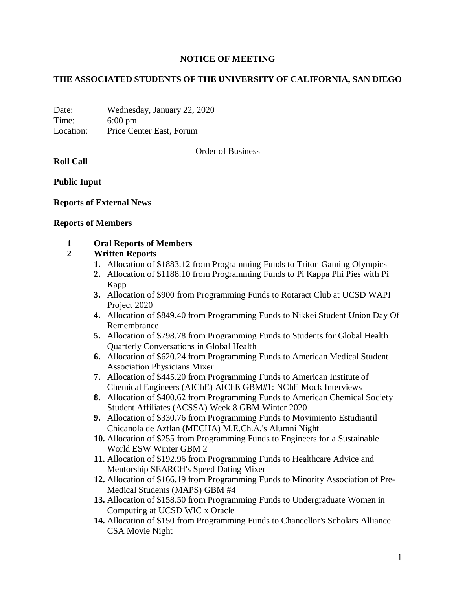# **NOTICE OF MEETING**

# **THE ASSOCIATED STUDENTS OF THE UNIVERSITY OF CALIFORNIA, SAN DIEGO**

Date: Wednesday, January 22, 2020 Time: 6:00 pm Location: Price Center East, Forum

Order of Business

**Roll Call**

**Public Input**

**Reports of External News**

#### **Reports of Members**

### **1 Oral Reports of Members**

### **2 Written Reports**

- **1.** Allocation of \$1883.12 from Programming Funds to Triton Gaming Olympics
- **2.** Allocation of \$1188.10 from Programming Funds to Pi Kappa Phi Pies with Pi Kapp
- **3.** Allocation of \$900 from Programming Funds to Rotaract Club at UCSD WAPI Project 2020
- **4.** Allocation of \$849.40 from Programming Funds to Nikkei Student Union Day Of Remembrance
- **5.** Allocation of \$798.78 from Programming Funds to Students for Global Health Quarterly Conversations in Global Health
- **6.** Allocation of \$620.24 from Programming Funds to American Medical Student Association Physicians Mixer
- **7.** Allocation of \$445.20 from Programming Funds to American Institute of Chemical Engineers (AIChE) AIChE GBM#1: NChE Mock Interviews
- **8.** Allocation of \$400.62 from Programming Funds to American Chemical Society Student Affiliates (ACSSA) Week 8 GBM Winter 2020
- **9.** Allocation of \$330.76 from Programming Funds to Movimiento Estudiantil Chicanola de Aztlan (MECHA) M.E.Ch.A.'s Alumni Night
- **10.** Allocation of \$255 from Programming Funds to Engineers for a Sustainable World ESW Winter GBM 2
- **11.** Allocation of \$192.96 from Programming Funds to Healthcare Advice and Mentorship SEARCH's Speed Dating Mixer
- **12.** Allocation of \$166.19 from Programming Funds to Minority Association of Pre-Medical Students (MAPS) GBM #4
- **13.** Allocation of \$158.50 from Programming Funds to Undergraduate Women in Computing at UCSD WIC x Oracle
- **14.** Allocation of \$150 from Programming Funds to Chancellor's Scholars Alliance CSA Movie Night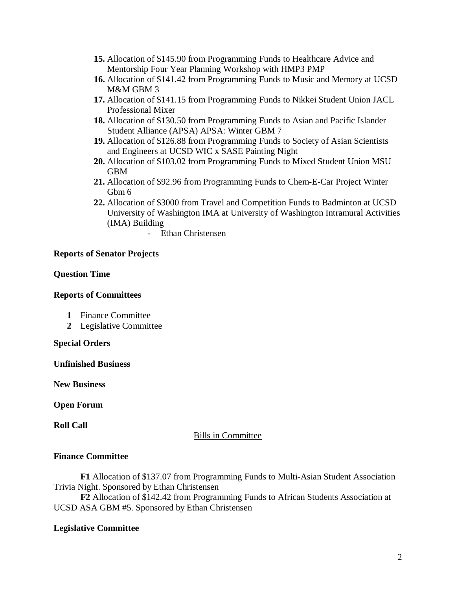- **15.** Allocation of \$145.90 from Programming Funds to Healthcare Advice and Mentorship Four Year Planning Workshop with HMP3 PMP
- **16.** Allocation of \$141.42 from Programming Funds to Music and Memory at UCSD M&M GBM 3
- **17.** Allocation of \$141.15 from Programming Funds to Nikkei Student Union JACL Professional Mixer
- **18.** Allocation of \$130.50 from Programming Funds to Asian and Pacific Islander Student Alliance (APSA) APSA: Winter GBM 7
- **19.** Allocation of \$126.88 from Programming Funds to Society of Asian Scientists and Engineers at UCSD WIC x SASE Painting Night
- **20.** Allocation of \$103.02 from Programming Funds to Mixed Student Union MSU GBM
- **21.** Allocation of \$92.96 from Programming Funds to Chem-E-Car Project Winter Gbm 6
- **22.** Allocation of \$3000 from Travel and Competition Funds to Badminton at UCSD University of Washington IMA at University of Washington Intramural Activities (IMA) Building
	- Ethan Christensen

### **Reports of Senator Projects**

### **Question Time**

### **Reports of Committees**

- **1** Finance Committee
- **2** Legislative Committee

### **Special Orders**

**Unfinished Business**

**New Business**

**Open Forum**

**Roll Call**

### Bills in Committee

### **Finance Committee**

**F1** Allocation of \$137.07 from Programming Funds to Multi-Asian Student Association Trivia Night. Sponsored by Ethan Christensen

**F2** Allocation of \$142.42 from Programming Funds to African Students Association at UCSD ASA GBM #5. Sponsored by Ethan Christensen

### **Legislative Committee**